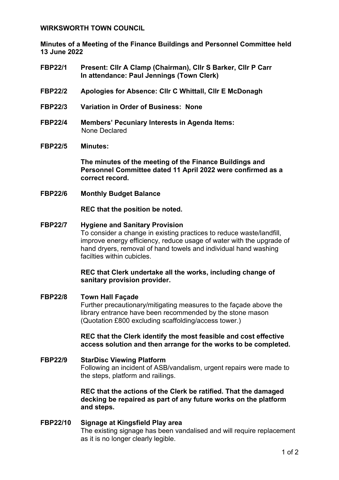### **WIRKSWORTH TOWN COUNCIL**

**Minutes of a Meeting of the Finance Buildings and Personnel Committee held 13 June 2022**

- **FBP22/1 Present: Cllr A Clamp (Chairman), Cllr S Barker, Cllr P Carr In attendance: Paul Jennings (Town Clerk)**
- **FBP22/2 Apologies for Absence: Cllr C Whittall, Cllr E McDonagh**
- **FBP22/3 Variation in Order of Business: None**
- **FBP22/4 Members' Pecuniary Interests in Agenda Items:**  None Declared

#### **FBP22/5 Minutes:**

**The minutes of the meeting of the Finance Buildings and Personnel Committee dated 11 April 2022 were confirmed as a correct record.**

**FBP22/6 Monthly Budget Balance** 

**REC that the position be noted.**

### **FBP22/7 Hygiene and Sanitary Provision**

To consider a change in existing practices to reduce waste/landfill, improve energy efficiency, reduce usage of water with the upgrade of hand dryers, removal of hand towels and individual hand washing facilties within cubicles.

### **REC that Clerk undertake all the works, including change of sanitary provision provider.**

**FBP22/8 Town Hall Façade** Further precautionary/mitigating measures to the façade above the library entrance have been recommended by the stone mason (Quotation £800 excluding scaffolding/access tower.)

### **REC that the Clerk identify the most feasible and cost effective access solution and then arrange for the works to be completed.**

# **FBP22/9 StarDisc Viewing Platform** Following an incident of ASB/vandalism, urgent repairs were made to the steps, platform and railings.

### **REC that the actions of the Clerk be ratified. That the damaged decking be repaired as part of any future works on the platform and steps.**

#### **FBP22/10 Signage at Kingsfield Play area** The existing signage has been vandalised and will require replacement as it is no longer clearly legible.